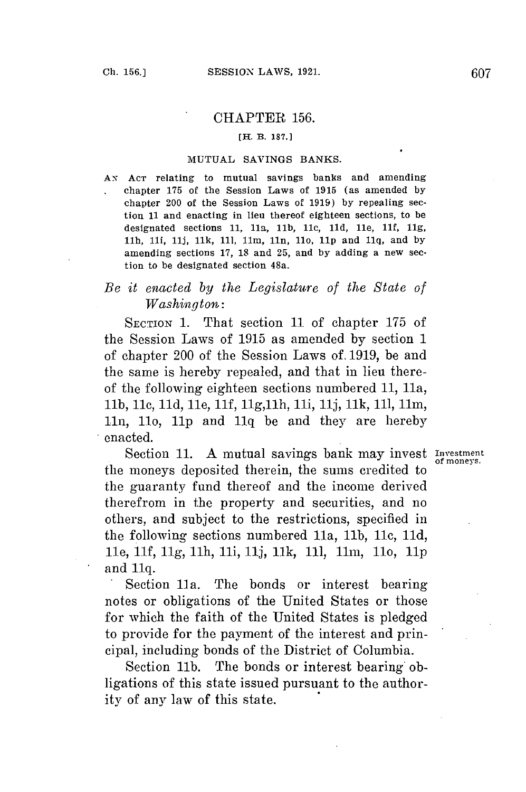## CHAPTER **156.**

## [H. B. **187.1**

## **MUTUAL** SAVINGS **BANKS.**

AN **ACT** relating to mutual savings banks and amending chapter **175** of the Session Laws of **1915** (as amended **by** chapter 200 of the Session Laws of **1919) by** repealing section **11** and enacting in lieu thereof eighteen sections, to be designated sections **11,** 11a, **lb,** 11c, **lid,** 1le, **11f, 11g,** 1lh, 1li, **11j, Ilk, 111,** 11m, 11n, 110, **lip** and **1lq,** and **by** amending sections **17, 18** and **25,** and **by** adding a new section to be designated section 48a.

## *Be it enacted by the Legislature of the State of Washington:*

**SECTION 1.** That section **11** of chapter **175** of the Session Laws of **1915** as amended **by** section **1** of chapter 200 of the Session Laws **of. 1919,** be and the same is hereby repealed, and that in lieu thereof the following eighteen sections numbered **11,** 11a, **lb, 1lc, lid,** 1le, **11f, 1lg,11h,** 1li, **11j, Ilk, 111,** 11m, 11n, 1l, **1lp** and **1iq** be and they are hereby enacted.

Section 11. A mutual savings bank may invest  $\frac{N}{\text{of money}}$ the moneys deposited therein, the sums credited to the guaranty fund thereof and the income derived therefrom in the property and securities, and no others, and subject to the restrictions, specified in the following sections numbered 11a, 11b, 11c, 11d, 1le, **11f,** *11g,* ih, ii, **iij, Ilk, 111,** 1im, 110, *lip* and **Iq.**

Section 11a. The bonds or interest bearing notes or obligations of the United States or those for which the faith of the United States is pledged to provide for the payment of the interest and principal, including bonds of the District of Columbia.

Section **1ib.** The bonds or interest bearing obligations of this state issued pursuant to the authority of any law of this state.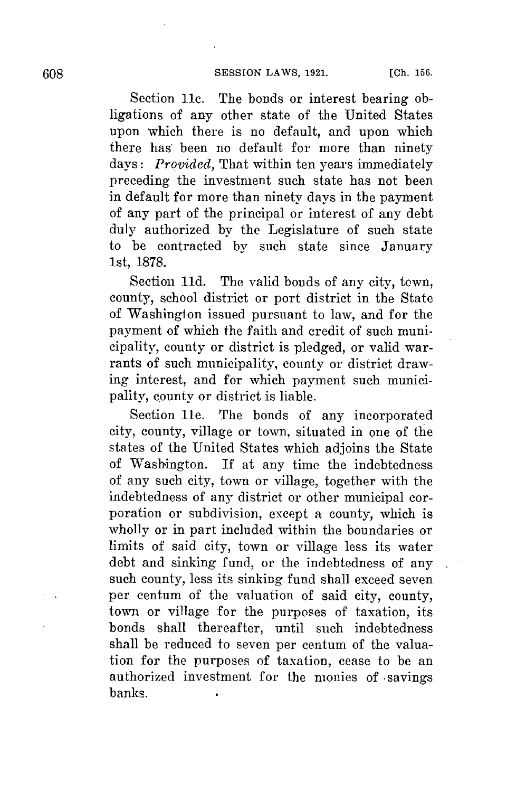Section **11c.** The bonds or interest bearing obligations of any other state of the United States upon which there is no default, and upon which there has been no default for more than ninety days: *Provided*, That within ten years immediately preceding the investment such state has not been in default for more than ninety days in the payment of any part of the principal or interest of any debt duly authorized **by** the Legislature of such state to be contracted **by** such state since January 1st, **1878.**

Section **11d.** The valid bonds of any city, town, county, school district or port district in the State of Washington issued pursuant to law, and for the payment of which the faith and credit of such municipality, county or district is pledged, or valid warrants of such municipality, county or district drawing interest, and for which payment such municipality, county or district is liable.

Section 11e. The bonds of any incorporated city, county, village or town, situated in one of the states of the United States which adjoins the State of Washington. If at any time the indebtedness of any such city, town or village, together with the indebtedness of any district or other municipal corporation or subdivision, except a county, which is wholly or in part included within the boundaries or limits of said city, town or village less its water debt and sinking fund, or the indebtedness of any such county, less its sinking fund shall exceed seven per centum of the valuation of said city, county, town or village for the purposes of taxation, its bonds shall thereafter, until such indebtedness shall be reduced to seven per centum of the valuation for the purposes of taxation, cease to be an authorized investment for the monies of -savings banks.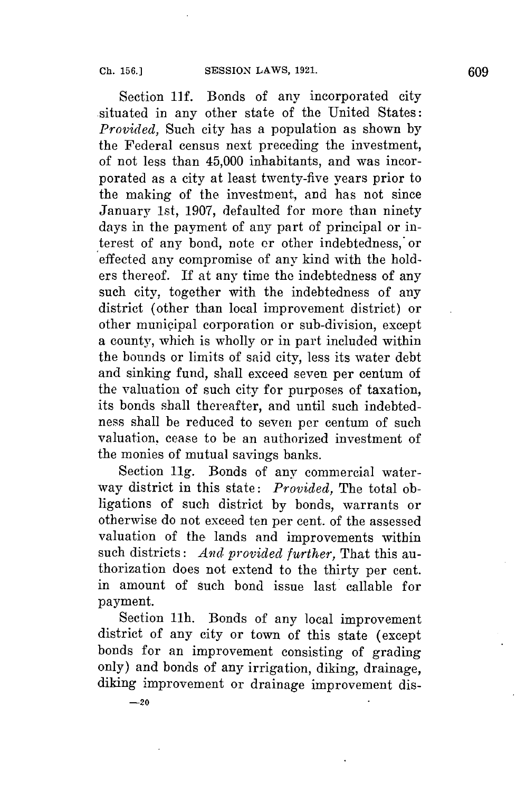Section **11f.** Bonds of any incorporated city situated in any other state of the United States: *Provided,* Such city has a population as shown **by** the Federal census next preceding the investment, of not less than 45,000 inhabitants, and was incorporated as a city at least twenty-five years prior to the making of the investment, and has not since January 1st, **1907,** defaulted for more than ninety days in the payment of any part of principal or interest of any bond, note or other indebtedness, or effected any compromise of any kind with the holders thereof. If at any time the indebtedness of any such city, together with the indebtedness of any district (other than local improvement district) or other municipal corporation or sub-division, except a county, which is wholly or in part included within the bounds or limits of said city, less its water debt and sinking fund, shall exceed seven per centum of the valuation of such city for purposes of taxation, its bonds shall thereafter, and until such indebtedness shall be reduced to seven per centum of such valuation, cease to be an authorized investment of the monies of mutual savings banks.

Section **11g.** Bonds of any commercial waterway district in this state: *Provided,* The total obligations of such district **by** bonds, warrants or otherwise do not exceed ten per cent. of the assessed valuation of the lands and improvements within such districts: *And provided further,* That this authorization does not extend to the thirty per cent. in amount of such bond issue last callable for payment.

Section 11h. Bonds of any local improvement district of any city or town of this state (except bonds for an improvement consisting of grading only) and bonds of any irrigation, diking, drainage, diking improvement or drainage improvement dis-

**-20**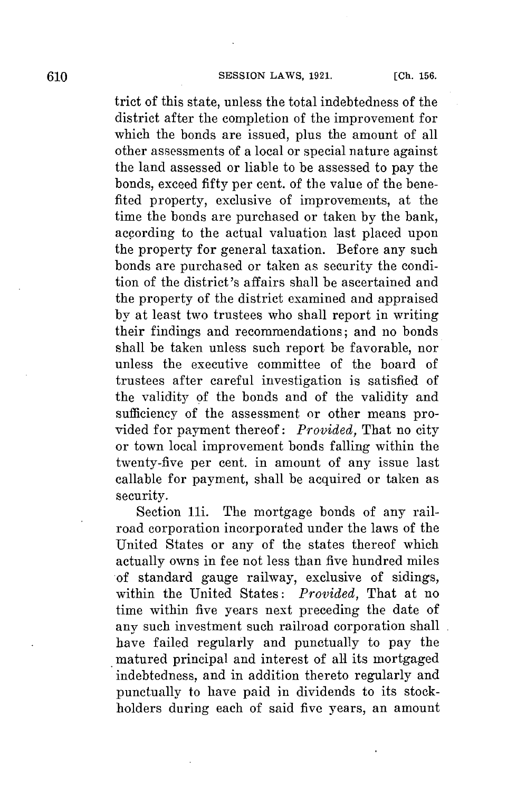trict of this state, unless the total indebtedness of the district after the completion of the improvement for which the bonds are issued, plus the amount of all other assessments of a local or special nature against the land assessed or liable to be assessed to pay the bonds, exceed fifty per cent. of the value of the benefited property, exclusive of improvements, at the time the bonds are purchased or taken **by** the bank, according to the actual valuation last placed upon the property for general taxation. Before any such bonds are purchased or taken as security the condition of the district's affairs shall be ascertained and the property of the district examined and appraised by at least two trustees who shall report in writing their findings and recommendations; and no bonds shall be taken unless such report be favorable, nor unless the executive committee of the board of trustees after careful investigation is satisfied of the validity of the bonds and of the validity and sufficiency of the assessment or other means provided for payment thereof: *Provided,* That no city or town local improvement bonds falling within the twenty-five per cent. in amount of any issue last callable for payment, shall be acquired or taken as security.

Section 11i. The mortgage bonds of any railroad corporation incorporated under the laws of the United States or any of the states thereof which actually owns in fee not less than five hundred miles of standard gauge railway, exclusive of sidings, within the United States: *Provided,* That at no time within five years next preceding the date of any such investment such railroad corporation shall have failed regularly and punctually to pay the matured principal and interest of all its mortgaged indebtedness, and in addition thereto regularly and punctually to have paid in dividends to its stockholders during each of said five years, an amount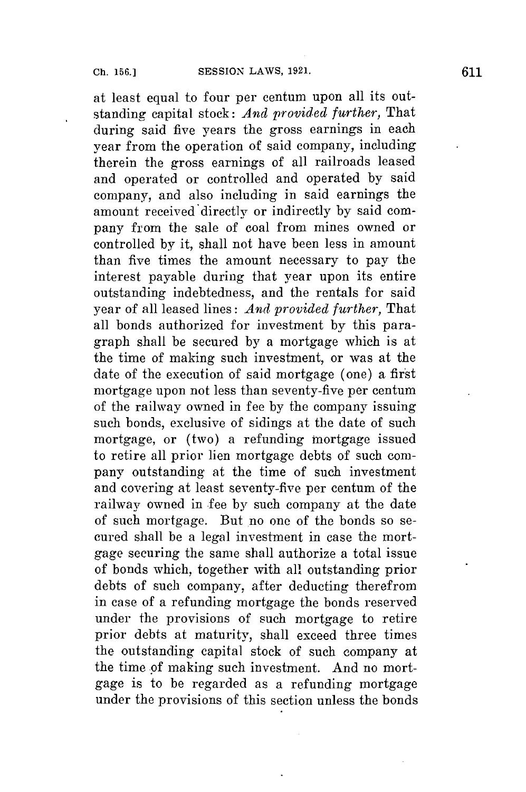at least equal to four per centum upon all its outstanding capital stock: *And provided further,* That during said five years the gross earnings in each year from the operation of said company, including therein the gross earnings of all railroads leased and operated or controlled and operated **by** said company, and also including in said earnings the amount received'directly or indirectly **by** said company from the sale of coal from mines owned or controlled **by** it, shall not have been less in amount than five times the amount necessary to pay the interest payable during that year upon its entire outstanding indebtedness, and the rentals for said year of all leased lines: *And provided further,* That all bonds authorized for investment **by** this paragraph shall be secured **by** a mortgage which is at the time of making such investment, or was at the date of the execution of said mortgage (one) a first mortgage upon not less than seventy-five per centum of the railway owned in fee **by** the company issuing such bonds, exclusive of sidings at the date of such mortgage, or (two) a refunding mortgage issued to retire all prior lien mortgage debts of such company outstanding at the time of such investment and covering at least seventy-five per centum of the railway owned in fee **by** such company at the date of such mortgage. But no one of the bonds so secured shall be a legal investment in case the mortgage securing the same shall authorize a total issue of bonds which, together with all outstanding prior debts of such company, after deducting therefrom in case of a refunding mortgage the bonds reserved under the provisions of such mortgage to retire prior debts at maturity, shall exceed three times the outstanding capital stock of such company at the time of making such investment. **And** no mortgage is to be regarded as a refunding mortgage under the provisions of this section unless the bonds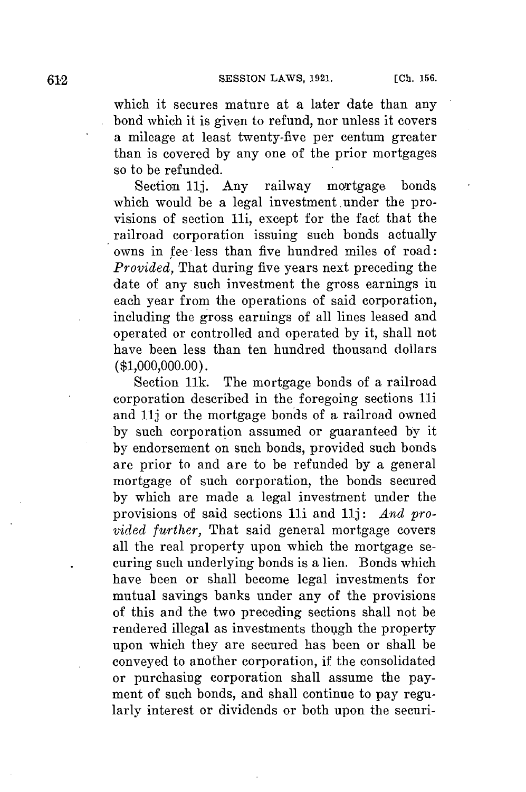which it secures mature at a later date than any bond which it is given to refund, nor unless it covers a mileage at least twenty-five per centum greater than is covered **by** any one of the prior mortgages so to be refunded.

Section **11j.** Any railway mortgage bonds which would be a legal investment. under the provisions of section 1li, except for the fact that the railroad corporation issuing such bonds actually owns in fee less than five hundred miles of road: *Provided,* That during five years next preceding the date of any such investment the gross earnings in each year from the operations of said corporation, including the gross earnings of all lines leased and operated or controlled and operated **by** it, shall not have been less than ten hundred thousand dollars **(\$1,000,000.00).**

Section **Ilk.** The mortgage bonds of a railroad corporation described in the foregoing sections li and **11j** or the mortgage bonds of a railroad owned **by** such corporation assumed or guaranteed **by** it **by** endorsement on such bonds, provided such bonds are prior to and are to be refunded **by** a general mortgage of such corporation, the bonds secured **by** which are made a legal investment under the provisions of said sections 1li and **11j:** *And provided further,* That said general mortgage covers all the real property upon which the mortgage securing such underlying bonds is a lien. Bonds which have been or shall become legal investments **for** mutual savings banks under any of the provisions of this and the two preceding sections shall not be rendered illegal as investments though the property upon which they are secured has been or shall be conveyed to another corporation, if the consolidated or purchasing corporation shall assume the payment of such bonds, and shall continue to pay regularly interest or dividends or both upon the securi-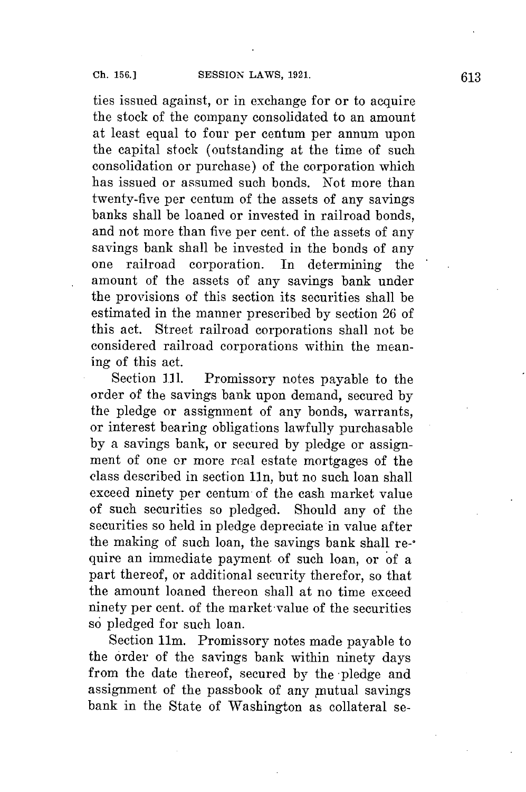ties issued against, or in exchange for or to acquire the stock of the company consolidated to an amount at least equal to four per centum per annum upon the capital stock (outstanding at the time of such consolidation or purchase) of the corporation which has issued or assumed such bonds. Not more than twenty-five per centum of the assets of any savings banks shall be loaned or invested in railroad bonds, and not more than five per cent. of the assets of any savings bank shall be invested in the bonds of any one railroad corporation. In determining the amount of the assets of any savings bank under the provisions of this section its securities shall be estimated in the manner prescribed **by** section **26** of this act. Street railroad corporations shall not **be** considered railroad corporations within the meaning of this act.

Section **111.** Promissory notes payable to the order of the savings bank upon demand, secured **by** the pledge or assignment of any bonds, warrants, or interest bearing obligations lawfully purchasable **by** a savings bank, or secured **by** pledge or assignment of one or more real estate mortgages of the class described in section 11n, but no such loan shall exceed ninety per centum of the cash market value of such securities so pledged. Should any of the securities so held in pledge depreciate in value after the making of such loan, the savings bank shall re-\* quire an immediate payment of such loan, or of a part thereof, or additional security therefor, so that the amount loaned thereon shall at no time exceed ninety per cent. of the market-value of the securities so pledged for such loan.

Section 11m. Promissory notes made payable to the order of the savings bank within ninety days from the date thereof, secured **by** the -pledge and assignment of the passbook of any mutual savings bank in the State of Washington as collateral se-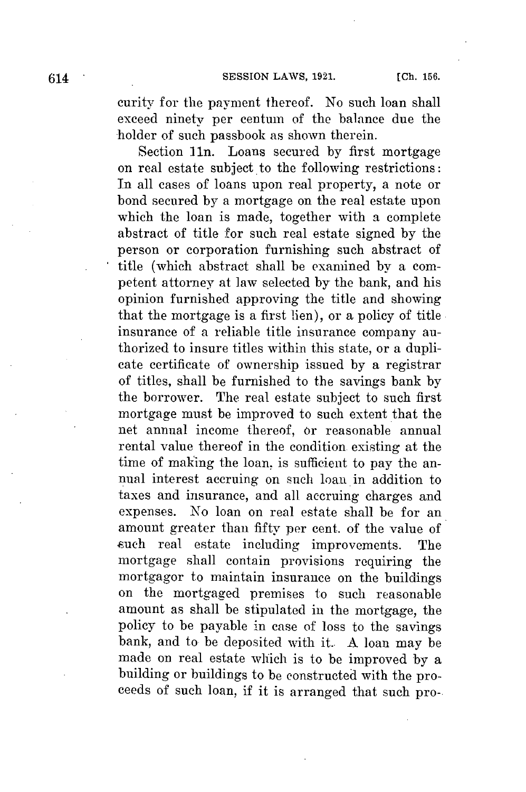curity **for** the payment thereof. No such loan shall exceed ninety per centum of the balance due the holder of such passbook as shown therein.

Section 1n. Loans secured **by** first mortgage on real estate subject to the following restrictions: In all cases of loans upon real property, a note or bond secured **by** a mortgage on the real estate upon which the loan is made, together with a complete abstract of title for such real estate signed **by** the person or corporation furnishing such abstract of title (which abstract shall be examined by a competent attorney at law selected **by** the bank, and his opinion furnished approving the title and showing that the mortgage is a first lien), or a policy of title insurance of a reliable title insurance company authorized to insure titles within this state, or a duplicate certificate of ownership issued **by** a registrar of titles, shall be furnished to the savings bank **by** the borrower. The real estate subject to such first mortgage must be improved to such extent that the net annual income thereof, or reasonable annual rental value thereof in the condition existing at the time of making the loan, is sufficient to pay the annual interest accruing on such loan in addition to taxes and insurance, and all accruing charges and expenses. No loan on real estate shall be for an amount greater than fifty per cent. of the value of such real estate including improvements. The mortgage shall contain provisions requiring the mortgagor to maintain insurance on the buildings on the mortgaged premises to such reasonable amount as shall be stipulated in the mortgage, the policy to be payable in case of loss to the savings bank, and to be deposited with it.. **A** loan may be made on real estate which is to be improved **by** a building or buildings to be constructed with the proceeds of such loan, if it is arranged that such pro-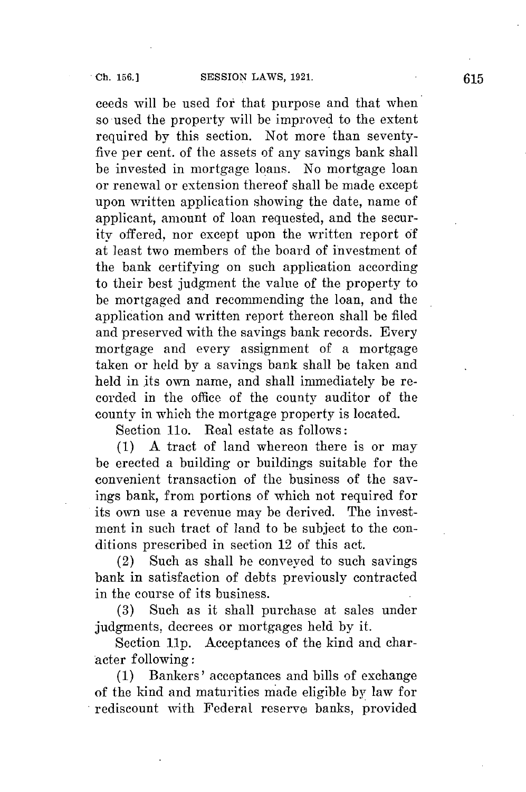ceeds will be used for that purpose and that when so used the property will be improved to the extent required **by** this section. Not more than seventyfive per cent. of the assets of any savings bank shall **be** invested in mortgage loans. No mortgage loan or renewal or extension thereof shall be made except upon written application showing the date, name of applicant, amount of loan requested, and the security offered, nor except upon the written report **of** at least two members of the board of investment of the bank certifying on such application according to their best judgment the value of the property to be mortgaged and recommending the loan, and the application and written report thereon shall be filed and preserved with the savings bank records. Every mortgage and every assignment of a mortgage taken or **held** by a savings bank shall be taken and held in its own name, and shall immediately be recorded in the office of the county auditor of the county in which the mortgage property is located.

Section 11o. Real estate as follows:

**(1) A** tract of land whereon there is or may be erected a building or buildings suitable for the convenient transaction of the business of the savings bank, from portions of which not required for its own use a revenue may be derived. The investment in such tract of land to be subject to the conditions prescribed in section 12 of this act.

(2) Such as shall be conveyed to such savings bank in satisfaction of debts previously contracted in the course of its business.

**(3)** Such as it shall purchase at sales under judgments, decrees or mortgages held **by** it.

Section **11p.** Acceptances of the kind and character following:

**(1)** Bankers' acceptances and bills of exchange of the kind and maturities made eligible **by** law for rediscount With Federal reserve banks, provided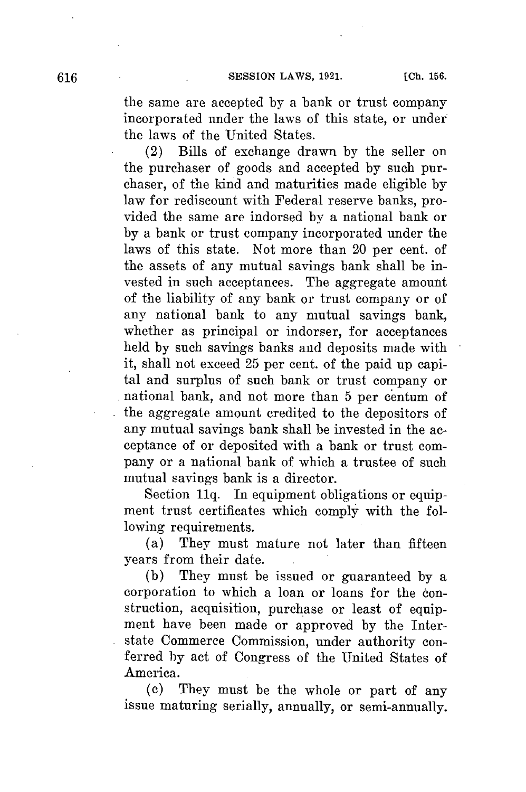the same are accepted **by** a bank or trust company incorporated under the laws of this state, or under the laws of the United States.

(2) Bills of exchange drawn **by** the seller on the purchaser of goods and accepted **by** such purchaser, of the kind and maturities made eligible **by** law for rediscount with Federal reserve banks, provided the same are indorsed **by** a national bank or **by** a bank or trust company incorporated under the laws of this state. Not more than 20 per cent. of the assets of any mutual savings bank shall be invested in such acceptances. The aggregate amount of the liability of any bank or trust company or of any national bank to any mutual savings bank, whether as principal or indorser, for acceptances held **by** such savings banks and deposits made with it, shall not exceed **25** per cent. of the paid up capital and surplus of such bank or trust company or national bank, and not more than **5** per centum of the aggregate amount credited to the depositors of any mutual savings bank shall be invested in the acceptance of or deposited with a bank or trust company or a national bank of which a trustee of such mutual savings bank is a director.

Section **11q.** In equipment obligations or equipment trust certificates which comply with the following requirements.

(a) They must mature not later than fifteen years from their date.

**(b)** They must be issued or guaranteed **by** a corporation to which a loan or loans for the construction, acquisition, purchase or least of equipment have been made or approved **by** the Interstate Commerce Commission, under authority conferred **by** act of Congress of the United States of America.

**(c)** They must be the whole or part of any issue maturing serially, annually, or semi-annually.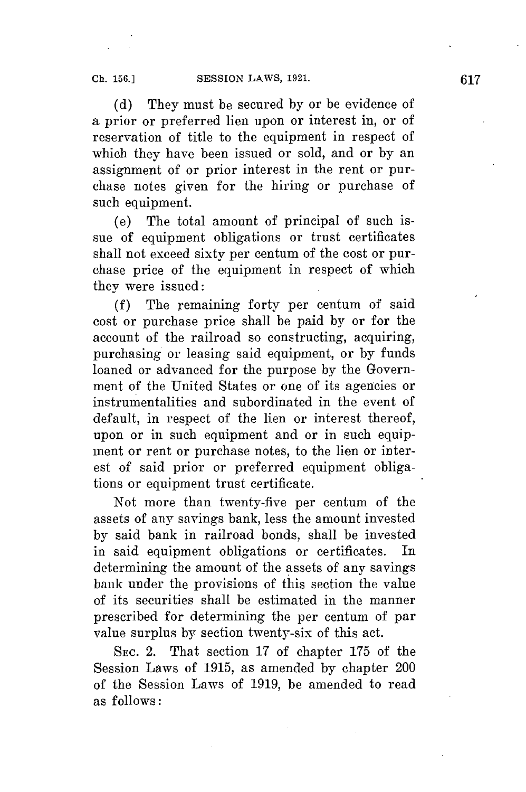**(d)** They must be secured **by** or be evidence of a prior or preferred lien upon or interest in, or of reservation of title to the equipment in respect of which they have been issued or sold, and or **by** an assignment of or prior interest in the rent or purchase notes given for the hiring or purchase of such equipment.

**(e)** The total amount of principal of such issue of equipment obligations or trust certificates shall not exceed sixty per centum of the cost or purchase price of the equipment in respect of which they were issued:

**(f)** The remaining forty per centum of said cost or purchase price shall be paid **by** or for the account of the railroad so constructing, acquiring, purchasing or leasing said equipment, or **by** funds loaned or advanced for the purpose **by** the Government of the United States or one of its agencies or instrumentalities and subordinated in the event of default, in respect of the lien or interest thereof, upon or in such equipment and or in such equipment or rent or purchase notes, to the lien or interest of said prior or preferred equipment obligations or equipment trust certificate.

Not more than twenty-five per centum of the assets of any savings bank, less the amount invested **by** said bank in railroad bonds, shall be invested in said equipment obligations or certificates. In determining the amount of the assets of any savings bank under the provisions of this section the value of its securities shall be estimated in the manner prescribed for determining the per centum of par value surplus **by** section twenty-six of this act.

**SEC.** 2. That section **17** of chapter **175** of the Session Laws of **1915,** as amended **by** chapter 200 of the Session Laws of **1919,** be amended to read as follows: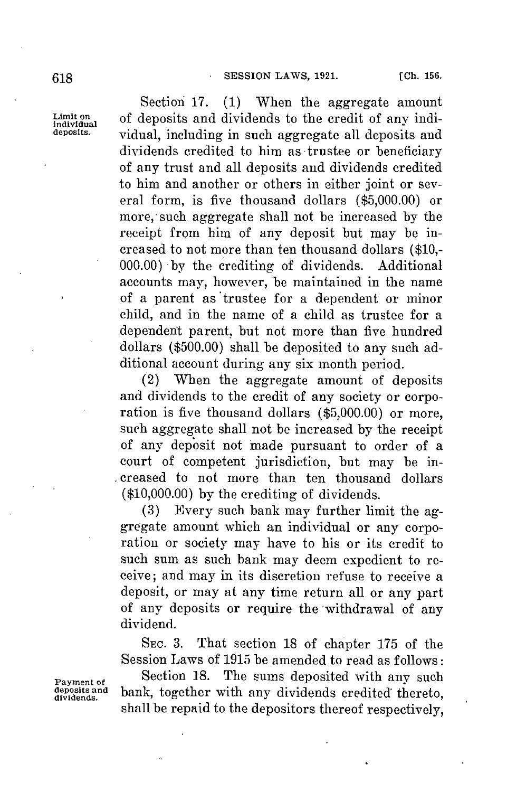Section **17. (1)** When the aggregate amount Limit on **of deposits and dividends to the credit of any indi-** individual **including** in such aggregate all deposits and **deposits.** vidual, including in such aggregate all deposits and dividends credited to him as trustee or beneficiary of any trust and all deposits and dividends credited to him and another or others in either joint or several form, is five thousand dollars **(\$5,000.00)** or more,-such aggregate shall not be increased **by** the receipt from him of any deposit but may be increased to not more than ten thousand dollars **(\$10,- 000.00) by** the crediting of dividends. Additional accounts may, however, be maintained in the name of a parent as 'trustee for a dependent or minor child, and in the name of a child as trustee for a dependent parent, but not more than five hundred dollars **(\$500.00)** shall be deposited to any such additional account during any six month period.

> (2) When the aggregate amount of deposits and dividends to the credit of any society or corporation is five thousand dollars **(\$5,000.00)** or more, such aggregate shall not be increased **by** the receipt of any deposit not made pursuant to order of a court of competent jurisdiction, but may **be** in- . creased to not more than ten thousand dollars **(\$10,000.00) by** the crediting of dividends.

> **(3)** Every such bank may further limit the aggregate amount which an individual or any corporation or society may have to his or its credit to such sum as such bank may deem expedient to receive; and may in its discretion refuse to receive a deposit, or may at any time return all or any part of any deposits or require the withdrawal of any dividend.

> **SEc. 3.** That section 18 of chapter **175** of the Session Laws of **1915** be amended to read as follows:

**Payment of** Section 18. The sums deposited with any such deposits and hank together with any dividends credited thereto **depositsand** bank, together with any dividends credited thereto, shall be repaid to the depositors thereof respectively,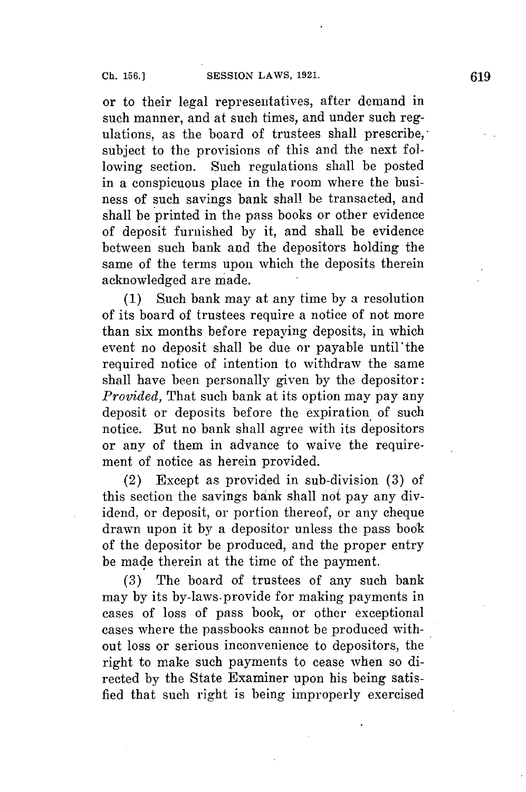or to their legal representatives, after demand in such manner, and at such times, and under such regulations, as the board of trustees shall prescribe, subject to the provisions of this and the next following section. Such regulations shall be posted in a conspicuous place in the room where the business of such savings bank shall be transacted, and shall be printed in the pass books or other evidence of deposit furnished **by** it, and shall be evidence between such bank and the depositors holding the same of the terms upon which the deposits therein acknowledged are made.

**(1)** Such bank may at any time **by** a resolution of its board of trustees require a notice of not more than six months before repaying deposits, in which event no deposit shall be due or payable until'the required notice of intention to withdraw the same shall have been personally given **by** the depositor: *Provided,* That such bank at its option may pay any deposit or deposits before the expiration of such notice. But no bank shall agree with its depositors or any of them in advance to waive the requirement of notice as herein provided.

(2) Except as provided in sub-division **(3)** of this section the savings bank shall not pay any dividend, or deposit, or portion thereof, or any cheque drawn upon it **by** a depositor unless the pass book of the depositor be produced, and the proper entry be made therein at the time of the payment.

**(3)** The board of trustees of any such bank may **by its** by-laws-provide for making payments in cases of loss of pass book, or other exceptional cases where the passbooks cannot be produced without loss or serious inconvenience to depositors, the right to make such payments to cease when so directed **by** the State Examiner upon his being satisfied that such right is being improperly exercised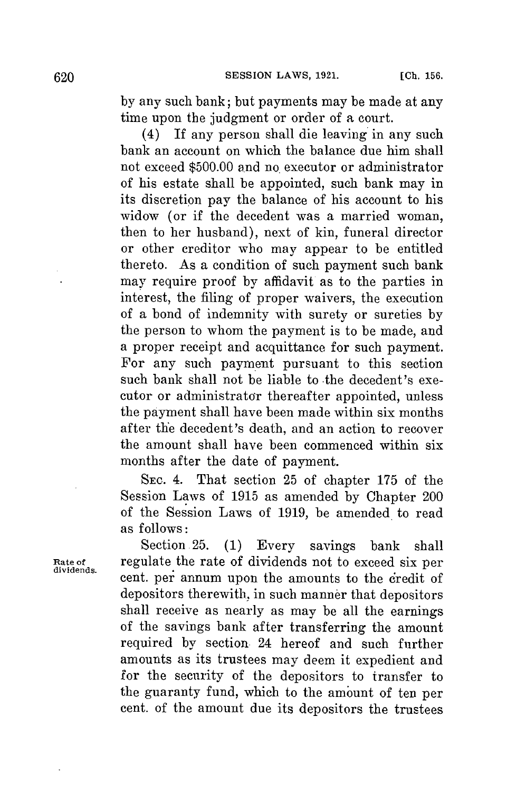**by** any such bank; but payments may be made at any time upon the judgment or order of a court.

(4) If any person shall die leaving in any such bank an account on which the balance due him shall not exceed **\$500.00** and no executor or administrator of his estate shall be appointed, such bank may in its discretion pay the balance of his account to his widow (or if the decedent was a married woman, then to her husband), next of kin, funeral director or other creditor who may appear to be entitled thereto. As a condition of such payment such bank may require proof **by** affidavit as to the parties in interest, the filing of proper waivers, the execution of a bond of indemnity with surety or sureties **by** the person to whom the payment is to be made, and a proper receipt and acquittance for such payment. For any such payment pursuant to this section such bank shall not be liable to the decedent's executor or administrator thereafter appointed, unless the payment shall have been made within six months after the decedent's death, and an action to recover the amount shall have been commenced within six months after the date of payment.

**SEC.** 4. That section **25** of chapter **175** of the Session Laws of **1915** as amended **by** Chapter 200 of the Session Laws of **1919,** be amended. to read as follows:

Section **25. (1)** Every savings bank shall Rate of **regulate the rate of dividends not to exceed six per** cent. per annum upon the amounts to the credit of depositors therewith, in such manner that depositors shall receive as nearly as may be all the earnings of the savings bank after transferring the amount required **by** section 24 hereof and such further amounts as its trustees may deem it expedient and for the security of the depositors to transfer to the guaranty fund, which to the amount of ten per cent. of the amount due its depositors the trustees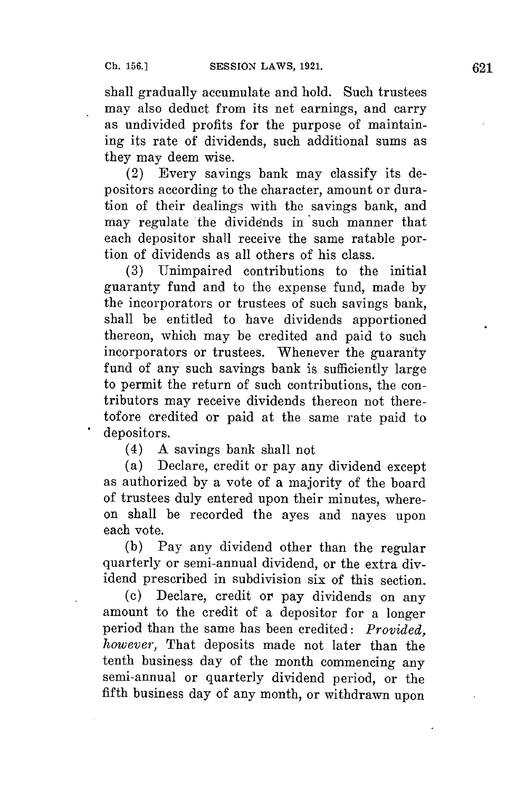shall gradually accumulate and hold. Such trustees may also deduct from its net earnings, and carry as undivided profits for the purpose of maintaining its rate of dividends, such additional sums as they may deem wise.

(2) Every savings bank may classify its depositors according to the character, amount or duration of their dealings with the savings bank, and may regulate the dividends in such manner that each depositor shall receive the same ratable portion of dividends as all others of his class.

**(3)** Unimpaired contributions to the initial guaranty fund and to the expense fund, made **by** the incorporators or trustees of such savings bank, shall be entitled to have dividends apportioned thereon, which may be credited and paid to such incorporators or trustees. Whenever the guaranty fund of any such savings bank is sufficiently large to permit the return of such contributions, the contributors may receive dividends thereon not theretofore credited or paid at the same rate paid to depositors.

(4) **A** savings bank shall not

(a) Declare, credit or pay any dividend except as authorized **by** a vote of a majority of the board of trustees duly entered upon their minutes, whereon shall be recorded the ayes and nayes upon each vote.

**(b)** Pay any dividend other than the regular quarterly or semi-annual dividend, or the extra dividend prescribed in subdivision six of this section.

**(c)** Declare, credit or pay dividends on any amount to the credit of a depositor **for** a longer period than the same has been credited: *Provided, however,* That deposits made not later than the tenth business day of the month commencing any semi-annual or quarterly dividend period, or the fifth business day of any month, or withdrawn upon